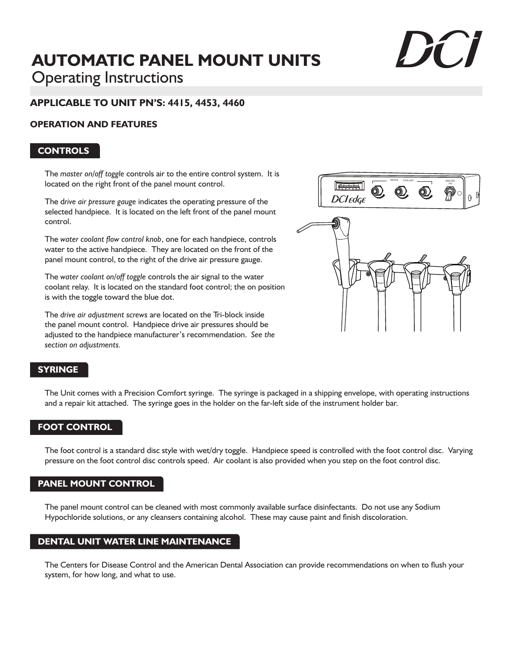# **AUTOMATIC PANEL MOUNT UNITS** Operating Instructions

## **APPLICABLE TO UNIT PN'S: 4415, 4453, 4460**

#### **OPERATION AND FEATURES**

#### **CONTROLS**

The *master on/off toggle* controls air to the entire control system. It is located on the right front of the panel mount control.

The d*rive air pressure gauge* indicates the operating pressure of the selected handpiece. It is located on the left front of the panel mount control.

The *water coolant flow control knob*, one for each handpiece, controls water to the active handpiece. They are located on the front of the panel mount control, to the right of the drive air pressure gauge.

The *water coolant on/off toggle* controls the air signal to the water coolant relay. It is located on the standard foot control; the on position is with the toggle toward the blue dot.

The *drive air adjustment screws* are located on the Tri-block inside the panel mount control. Handpiece drive air pressures should be adjusted to the handpiece manufacturer's recommendation. *See the section on adjustments.*



### **SYRINGE**

The Unit comes with a Precision Comfort syringe. The syringe is packaged in a shipping envelope, with operating instructions and a repair kit attached. The syringe goes in the holder on the far-left side of the instrument holder bar.

### **FOOT CONTROL**

The foot control is a standard disc style with wet/dry toggle. Handpiece speed is controlled with the foot control disc. Varying pressure on the foot control disc controls speed. Air coolant is also provided when you step on the foot control disc.

### **PANEL MOUNT CONTROL**

The panel mount control can be cleaned with most commonly available surface disinfectants. Do not use any Sodium Hypochloride solutions, or any cleansers containing alcohol. These may cause paint and finish discoloration.

### **DENTAL UNIT WATER LINE MAINTENANCE**

The Centers for Disease Control and the American Dental Association can provide recommendations on when to flush your system, for how long, and what to use.